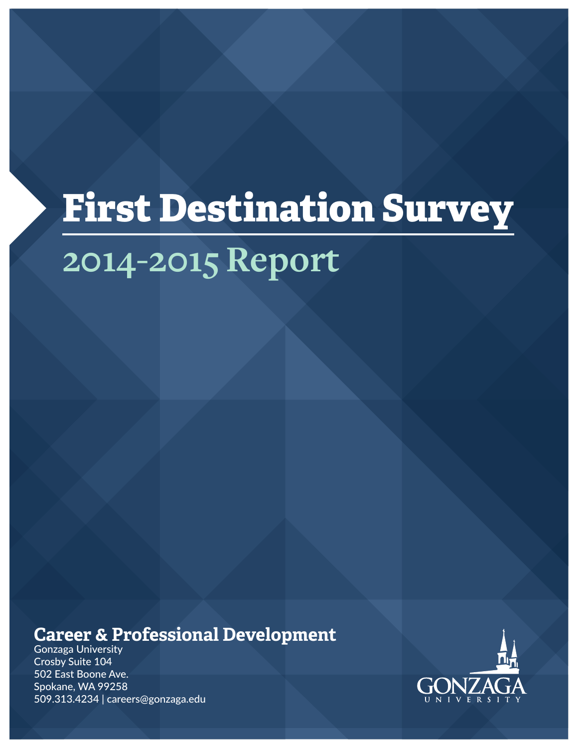# **First Destination Survey 2014-2015 Report**

### **Career & Professional Development**

Gonzaga University Crosby Suite 104 502 East Boone Ave. Spokane, WA 99258 509.313.4234 | careers@gonzaga.edu

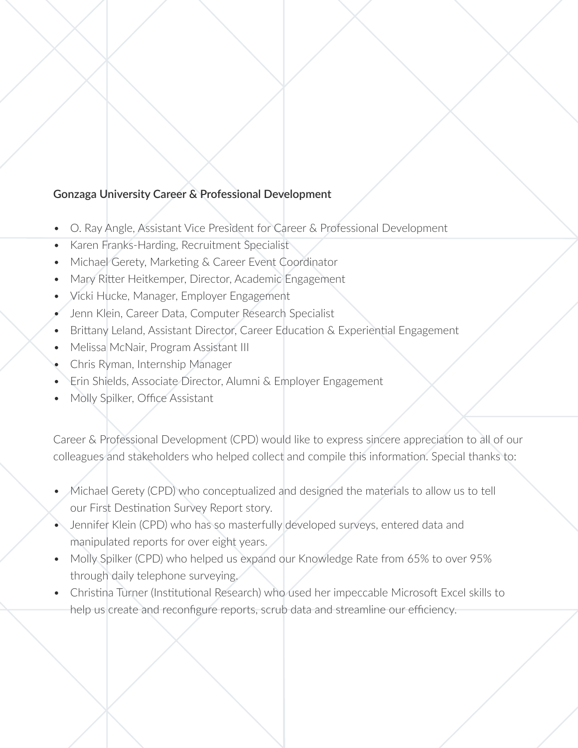#### **Gonzaga University Career & Professional Development**

- O. Ray Angle, Assistant Vice President for Career & Professional Development
- Karen Franks-Harding, Recruitment Specialist
- Michael Gerety, Marketing & Career Event Coordinator
- Mary Ritter Heitkemper, Director, Academic Engagement
- Vicki Hucke, Manager, Employer Engagement
- Jenn Klein, Career Data, Computer Research Specialist
- Brittany Leland, Assistant Director, Career Education & Experiential Engagement
- Melissa McNair, Program Assistant III
- Chris Ryman, Internship Manager
- Erin Shields, Associate Director, Alumni & Employer Engagement
- Molly Spilker, Office Assistant

Career & Professional Development (CPD) would like to express sincere appreciation to all of our colleagues and stakeholders who helped collect and compile this information. Special thanks to:

- Michael Gerety (CPD) who conceptualized and designed the materials to allow us to tell our First Destination Survey Report story.
- Jennifer Klein (CPD) who has so masterfully developed surveys, entered data and manipulated reports for over eight years.
- Molly Spilker (CPD) who helped us expand our Knowledge Rate from 65% to over 95% through daily telephone surveying.
- Christina Turner (Institutional Research) who used her impeccable Microsoft Excel skills to help us create and reconfigure reports, scrub data and streamline our efficiency.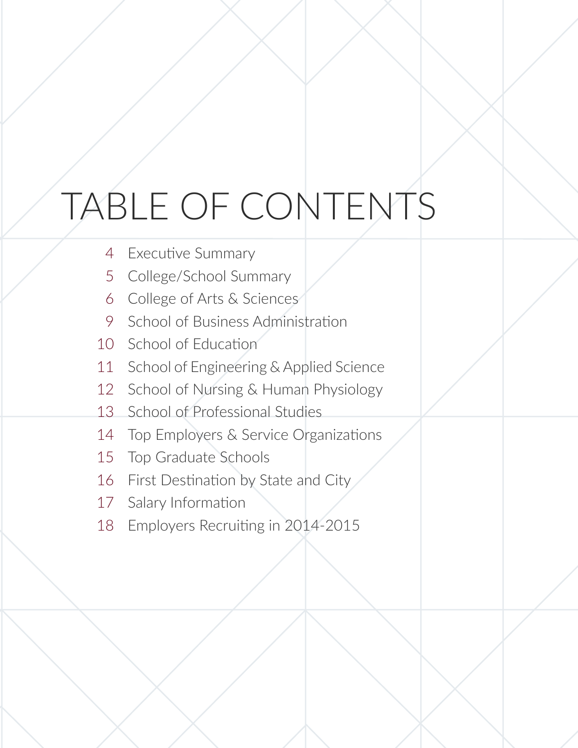# TABLE OF CONTENTS

- Executive Summary 4
- College/School Summary 5
- College of Arts & Sciences 6
- School of Business Administration 9
- School of Education 10
- School of Engineering & Applied Science 11
- School of Nursing & Human Physiology 12
- School of Professional Studies 13
- Top Employers & Service Organizations 14
- Top Graduate Schools 15
- First Destination by State and City 16
- Salary Information 17
- Employers Recruiting in 2014-2015 18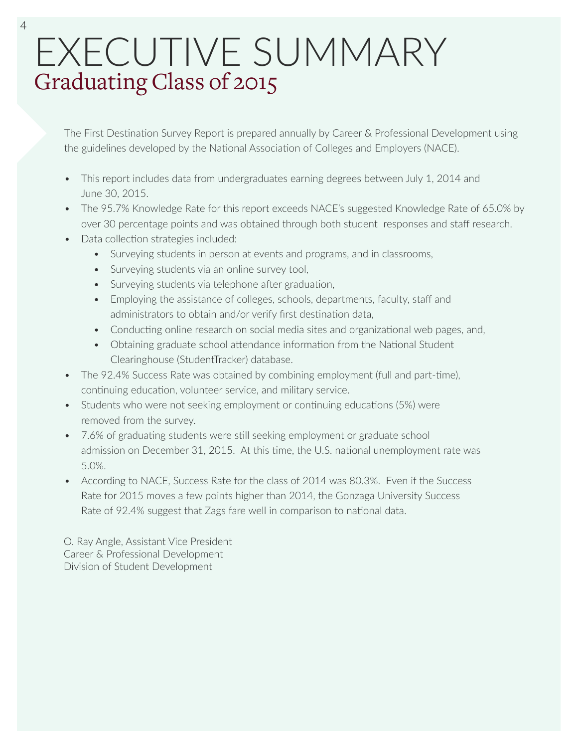## EXECUTIVE SUMMARY Graduating Class of 2015

The First Destination Survey Report is prepared annually by Career & Professional Development using the guidelines developed by the National Association of Colleges and Employers (NACE).

- This report includes data from undergraduates earning degrees between July 1, 2014 and June 30, 2015.
- The 95.7% Knowledge Rate for this report exceeds NACE's suggested Knowledge Rate of 65.0% by over 30 percentage points and was obtained through both student responses and staff research.
- Data collection strategies included:
	- Surveying students in person at events and programs, and in classrooms,
	- Surveying students via an online survey tool,
	- Surveying students via telephone after graduation,
	- Employing the assistance of colleges, schools, departments, faculty, staff and administrators to obtain and/or verify first destination data,
	- Conducting online research on social media sites and organizational web pages, and,
	- Obtaining graduate school attendance information from the National Student Clearinghouse (StudentTracker) database.
- The 92.4% Success Rate was obtained by combining employment (full and part-time), continuing education, volunteer service, and military service.
- Students who were not seeking employment or continuing educations (5%) were removed from the survey.
- 7.6% of graduating students were still seeking employment or graduate school admission on December 31, 2015. At this time, the U.S. national unemployment rate was 5.0%.
- According to NACE, Success Rate for the class of 2014 was 80.3%. Even if the Success Rate for 2015 moves a few points higher than 2014, the Gonzaga University Success Rate of 92.4% suggest that Zags fare well in comparison to national data.

O. Ray Angle, Assistant Vice President Career & Professional Development Division of Student Development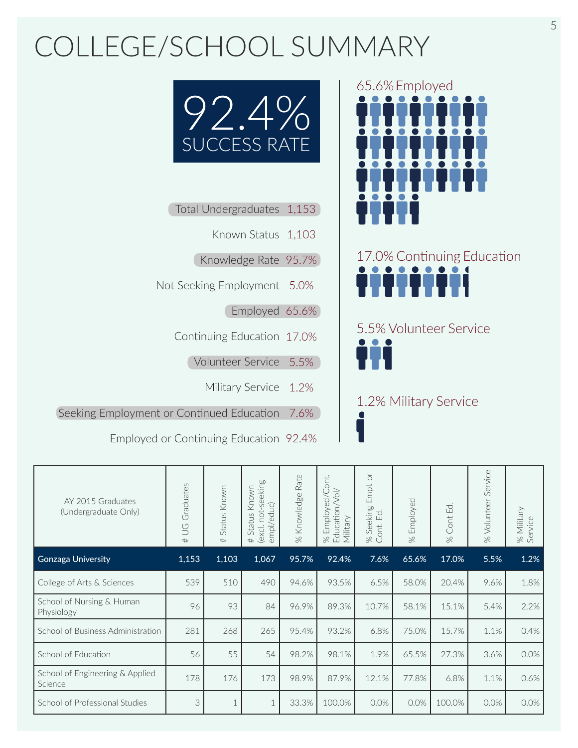## COLLEGE/SCHOOL SUMMARY



- Total Undergraduates 1,153
	- Known Status 1,103
	- Knowledge Rate 95.7%
- Not Seeking Employment 5.0%
	- Employed 65.6%
	- Continuing Education 17.0%
		- Volunteer Service 5.5%
			- Military Service 1.2%

Seeking Employment or Continued Education 7.6%

Employed or Continuing Education 92.4%





5.5% Volunteer Service

1.2% Military Service

| AY 2015 Graduates<br>(Undergraduate Only)  | Graduates<br>$\cup$<br># | Status Known<br># | not-seeking<br>Known<br>empl/educ)<br>Status<br>(excl.<br># | Rate<br>% Knowledge | ont.<br>Education/Vol/<br>Employed/C<br>Military<br>$\approx$ | $\overleftarrow{C}$<br>Empl.<br>Seeking<br>$\Xi$<br>Cont.<br>$\approx$ | Employed<br>$\approx$ | Cont Ed.<br>$\approx$ | Service<br>Volunteer<br>$\infty$ | Military<br>% Milita<br>Service |
|--------------------------------------------|--------------------------|-------------------|-------------------------------------------------------------|---------------------|---------------------------------------------------------------|------------------------------------------------------------------------|-----------------------|-----------------------|----------------------------------|---------------------------------|
| <b>Gonzaga University</b>                  | 1,153                    | 1,103             | 1,067                                                       | 95.7%               | 92.4%                                                         | 7.6%                                                                   | 65.6%                 | 17.0%                 | 5.5%                             | 1.2%                            |
| College of Arts & Sciences                 | 539                      | 510               | 490                                                         | 94.6%               | 93.5%                                                         | 6.5%                                                                   | 58.0%                 | 20.4%                 | 9.6%                             | 1.8%                            |
| School of Nursing & Human<br>Physiology    | 96                       | 93                | 84                                                          | 96.9%               | 89.3%                                                         | 10.7%                                                                  | 58.1%                 | 15.1%                 | 5.4%                             | 2.2%                            |
| School of Business Administration          | 281                      | 268               | 265                                                         | 95.4%               | 93.2%                                                         | 6.8%                                                                   | 75.0%                 | 15.7%                 | 1.1%                             | 0.4%                            |
| School of Education                        | 56                       | 55                | 54                                                          | 98.2%               | 98.1%                                                         | 1.9%                                                                   | 65.5%                 | 27.3%                 | 3.6%                             | 0.0%                            |
| School of Engineering & Applied<br>Science | 178                      | 176               | 173                                                         | 98.9%               | 87.9%                                                         | 12.1%                                                                  | 77.8%                 | 6.8%                  | 1.1%                             | 0.6%                            |
| School of Professional Studies             | 3                        |                   | $\mathbf{1}$                                                | 33.3%               | 100.0%                                                        | 0.0%                                                                   | 0.0%                  | 100.0%                | 0.0%                             | 0.0%                            |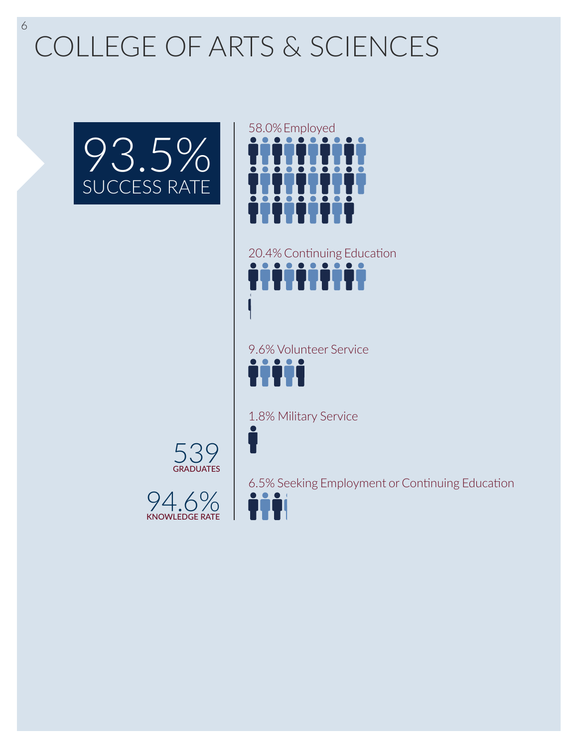COLLEGE OF ARTS & SCIENCES





20.4% Continuing Education ttttttttt

9.6% Volunteer Service TTTT

1.8% Military Service

539 **GRADUATES** 



6.5% Seeking Employment or Continuing Education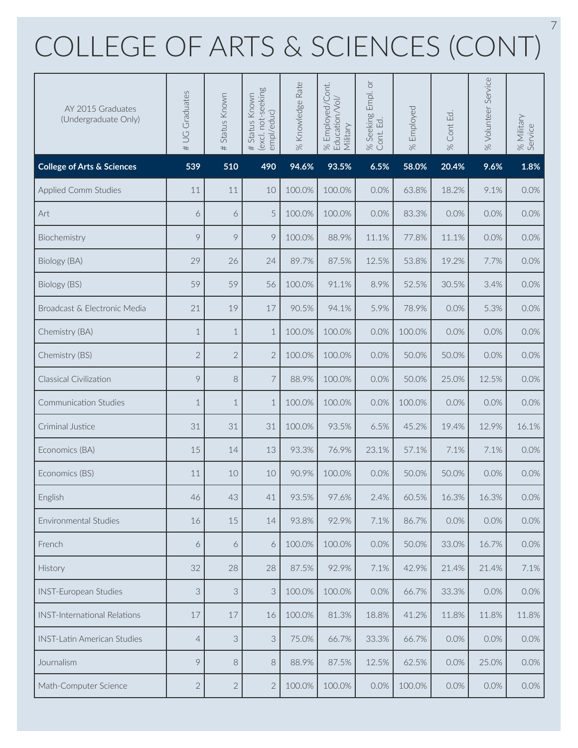## COLLEGE OF ARTS & SCIENCES (CONT)

| AY 2015 Graduates<br>(Undergraduate Only) | # UG Graduates | Status Known<br># | excl. not-seeking<br>Status Known<br>empl/educ)<br># | % Knowledge Rate | Employed/Cont.<br>% Employed/Co<br>Education/Vol/<br>Military | Empl. or<br>% Seeking I<br>Cont. Ed. | Employed<br>$\frac{8}{2}$ | Cont Ed.<br>$\gg$ | % Volunteer Service | % Military<br>Service |
|-------------------------------------------|----------------|-------------------|------------------------------------------------------|------------------|---------------------------------------------------------------|--------------------------------------|---------------------------|-------------------|---------------------|-----------------------|
| <b>College of Arts &amp; Sciences</b>     | 539            | 510               | 490                                                  | 94.6%            | 93.5%                                                         | 6.5%                                 | 58.0%                     | 20.4%             | 9.6%                | 1.8%                  |
| <b>Applied Comm Studies</b>               | 11             | 11                | 10                                                   | 100.0%           | 100.0%                                                        | 0.0%                                 | 63.8%                     | 18.2%             | 9.1%                | 0.0%                  |
| Art                                       | 6              | 6                 | 5                                                    | 100.0%           | 100.0%                                                        | 0.0%                                 | 83.3%                     | 0.0%              | 0.0%                | 0.0%                  |
| Biochemistry                              | 9              | 9                 | 9                                                    | 100.0%           | 88.9%                                                         | 11.1%                                | 77.8%                     | 11.1%             | 0.0%                | 0.0%                  |
| Biology (BA)                              | 29             | 26                | 24                                                   | 89.7%            | 87.5%                                                         | 12.5%                                | 53.8%                     | 19.2%             | 7.7%                | 0.0%                  |
| Biology (BS)                              | 59             | 59                | 56                                                   | 100.0%           | 91.1%                                                         | 8.9%                                 | 52.5%                     | 30.5%             | 3.4%                | 0.0%                  |
| Broadcast & Electronic Media              | 21             | 19                | 17                                                   | 90.5%            | 94.1%                                                         | 5.9%                                 | 78.9%                     | 0.0%              | 5.3%                | 0.0%                  |
| Chemistry (BA)                            | $\mathbf 1$    | $\mathbf{1}$      | $\mathbf 1$                                          | 100.0%           | 100.0%                                                        | 0.0%                                 | 100.0%                    | 0.0%              | 0.0%                | 0.0%                  |
| Chemistry (BS)                            | $\overline{2}$ | $\overline{2}$    | $\overline{2}$                                       | 100.0%           | 100.0%                                                        | 0.0%                                 | 50.0%                     | 50.0%             | 0.0%                | 0.0%                  |
| Classical Civilization                    | 9              | 8                 | 7                                                    | 88.9%            | 100.0%                                                        | 0.0%                                 | 50.0%                     | 25.0%             | 12.5%               | 0.0%                  |
| Communication Studies                     | $\mathbf 1$    | $\mathbf{1}$      | $\mathbf 1$                                          | 100.0%           | 100.0%                                                        | 0.0%                                 | 100.0%                    | 0.0%              | 0.0%                | 0.0%                  |
| Criminal Justice                          | 31             | 31                | 31                                                   | 100.0%           | 93.5%                                                         | 6.5%                                 | 45.2%                     | 19.4%             | 12.9%               | 16.1%                 |
| Economics (BA)                            | 15             | 14                | 13                                                   | 93.3%            | 76.9%                                                         | 23.1%                                | 57.1%                     | 7.1%              | 7.1%                | 0.0%                  |
| Economics (BS)                            | 11             | 10                | 10                                                   | 90.9%            | 100.0%                                                        | 0.0%                                 | 50.0%                     | 50.0%             | 0.0%                | 0.0%                  |
| English                                   | 46             | 43                | 41                                                   | 93.5%            | 97.6%                                                         | 2.4%                                 | 60.5%                     | 16.3%             | 16.3%               | $0.0\%$               |
| Environmental Studies                     | 16             | 15                | 14                                                   | 93.8%            | 92.9%                                                         | 7.1%                                 | 86.7%                     | 0.0%              | 0.0%                | 0.0%                  |
| French                                    | 6              | 6                 | 6                                                    | 100.0%           | 100.0%                                                        | 0.0%                                 | 50.0%                     | 33.0%             | 16.7%               | 0.0%                  |
| History                                   | 32             | 28                | 28                                                   | 87.5%            | 92.9%                                                         | 7.1%                                 | 42.9%                     | 21.4%             | 21.4%               | 7.1%                  |
| <b>INST-European Studies</b>              | 3              | 3                 | 3                                                    | 100.0%           | 100.0%                                                        | 0.0%                                 | 66.7%                     | 33.3%             | 0.0%                | 0.0%                  |
| <b>INST-International Relations</b>       | 17             | 17                | 16                                                   | 100.0%           | 81.3%                                                         | 18.8%                                | 41.2%                     | 11.8%             | 11.8%               | 11.8%                 |
| <b>INST-Latin American Studies</b>        | $\overline{4}$ | 3                 | 3                                                    | 75.0%            | 66.7%                                                         | 33.3%                                | 66.7%                     | 0.0%              | 0.0%                | 0.0%                  |
| Journalism                                | 9              | 8                 | 8                                                    | 88.9%            | 87.5%                                                         | 12.5%                                | 62.5%                     | 0.0%              | 25.0%               | 0.0%                  |
| Math-Computer Science                     | $\mathbf{2}$   | $\sqrt{2}$        | $\overline{2}$                                       | 100.0%           | 100.0%                                                        | 0.0%                                 | 100.0%                    | 0.0%              | 0.0%                | $0.0\%$               |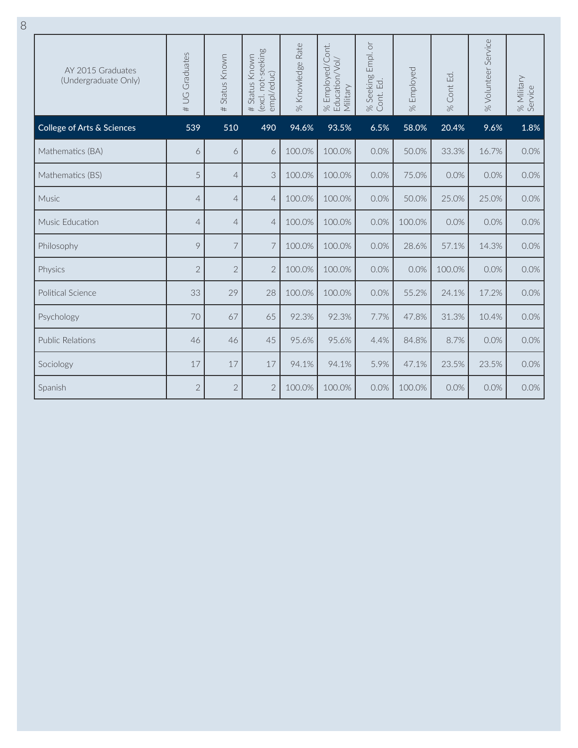| AY 2015 Graduates<br>(Undergraduate Only) | # UG Graduates | Status Known<br># | (excl. not-seeking<br>Status Known<br>empl/educ)<br># | % Knowledge Rate | Employed/Cont.<br>Education/Vol/<br>Military<br>$\approx$ | Empl. or<br>Seeking<br>$\Xi$<br>Cont.<br>$\frac{8}{26}$ | Employed<br>$\frac{1}{\sqrt{2}}$ | Cont Ed.<br>$\frac{1}{\sqrt{2}}$ | % Volunteer Service | % Military<br>Service |
|-------------------------------------------|----------------|-------------------|-------------------------------------------------------|------------------|-----------------------------------------------------------|---------------------------------------------------------|----------------------------------|----------------------------------|---------------------|-----------------------|
| College of Arts & Sciences                | 539            | 510               | 490                                                   | 94.6%            | 93.5%                                                     | 6.5%                                                    | 58.0%                            | 20.4%                            | 9.6%                | 1.8%                  |
| Mathematics (BA)                          | 6              | 6                 | 6                                                     | 100.0%           | 100.0%                                                    | 0.0%                                                    | 50.0%                            | 33.3%                            | 16.7%               | 0.0%                  |
| Mathematics (BS)                          | 5              | $\overline{4}$    | 3                                                     | 100.0%           | 100.0%                                                    | 0.0%                                                    | 75.0%                            | 0.0%                             | 0.0%                | 0.0%                  |
| Music                                     | $\overline{4}$ | $\overline{4}$    | $\overline{4}$                                        | 100.0%           | 100.0%                                                    | 0.0%                                                    | 50.0%                            | 25.0%                            | 25.0%               | 0.0%                  |
| Music Education                           | $\overline{4}$ | $\overline{4}$    | $\overline{4}$                                        | 100.0%           | 100.0%                                                    | 0.0%                                                    | 100.0%                           | 0.0%                             | 0.0%                | 0.0%                  |
| Philosophy                                | 9              | 7                 | 7                                                     | 100.0%           | 100.0%                                                    | 0.0%                                                    | 28.6%                            | 57.1%                            | 14.3%               | 0.0%                  |
| Physics                                   | $\mathbf{2}$   | $\overline{2}$    | $\overline{2}$                                        | 100.0%           | 100.0%                                                    | 0.0%                                                    | 0.0%                             | 100.0%                           | 0.0%                | 0.0%                  |
| Political Science                         | 33             | 29                | 28                                                    | 100.0%           | 100.0%                                                    | 0.0%                                                    | 55.2%                            | 24.1%                            | 17.2%               | 0.0%                  |
| Psychology                                | 70             | 67                | 65                                                    | 92.3%            | 92.3%                                                     | 7.7%                                                    | 47.8%                            | 31.3%                            | 10.4%               | 0.0%                  |
| Public Relations                          | 46             | 46                | 45                                                    | 95.6%            | 95.6%                                                     | 4.4%                                                    | 84.8%                            | 8.7%                             | 0.0%                | 0.0%                  |
| Sociology                                 | 17             | 17                | 17                                                    | 94.1%            | 94.1%                                                     | 5.9%                                                    | 47.1%                            | 23.5%                            | 23.5%               | 0.0%                  |
| Spanish                                   | $\overline{2}$ | $\overline{2}$    | $\overline{2}$                                        | 100.0%           | 100.0%                                                    | 0.0%                                                    | 100.0%                           | 0.0%                             | 0.0%                | 0.0%                  |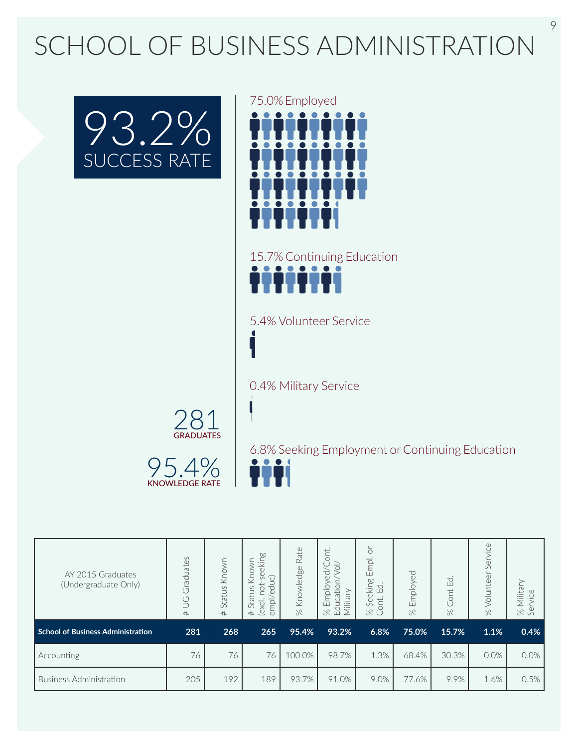## SCHOOL OF BUSINESS ADMINISTRATION





15.7% Continuing Education iiiiiii

5.4% Volunteer Service

0.4% Military Service



95.4% KNOWLEDGE RATE

6.8% Seeking Employment or Continuing Education

| AY 2015 Graduates<br>(Undergraduate Only) | Graduates<br>$\cup$<br># | Known<br>Status<br># | eeking<br>⋚<br>Kno<br>duc)<br>$\cup$<br>Ö<br>Status<br>$\mathbb U$<br>empl<br>(excl.<br>$^{\rm \#}$ | Rate<br>Knowledge<br>$\aleph$ | <b>b</b><br>$\overrightarrow{0}$<br>Ō<br>Φ<br>Employ<br>atior<br>≻<br>litar<br><b>Educa</b><br>這<br>$\approx$ | ð<br>Empl.<br>eking<br>ಕ<br>ш<br>قى<br>$\approx$ | Employed<br>$\aleph$ | E<br>Cont<br>$\aleph$ | Service<br>Volunteer<br>$\approx$ | itar<br>880 |
|-------------------------------------------|--------------------------|----------------------|-----------------------------------------------------------------------------------------------------|-------------------------------|---------------------------------------------------------------------------------------------------------------|--------------------------------------------------|----------------------|-----------------------|-----------------------------------|-------------|
| <b>School of Business Administration</b>  | 281                      | 268                  | 265                                                                                                 | 95.4%                         | 93.2%                                                                                                         | 6.8%                                             | 75.0%                | 15.7%                 | 1.1%                              | 0.4%        |
| Accounting                                | 76                       | 76                   | 76                                                                                                  | 100.0%                        | 98.7%                                                                                                         | 1.3%                                             | 68.4%                | 30.3%                 | 0.0%                              | 0.0%        |
| <b>Business Administration</b>            | 205                      | 192                  | 189                                                                                                 | 93.7%                         | 91.0%                                                                                                         | 9.0%                                             | 77.6%                | 9.9%                  | 1.6%                              | 0.5%        |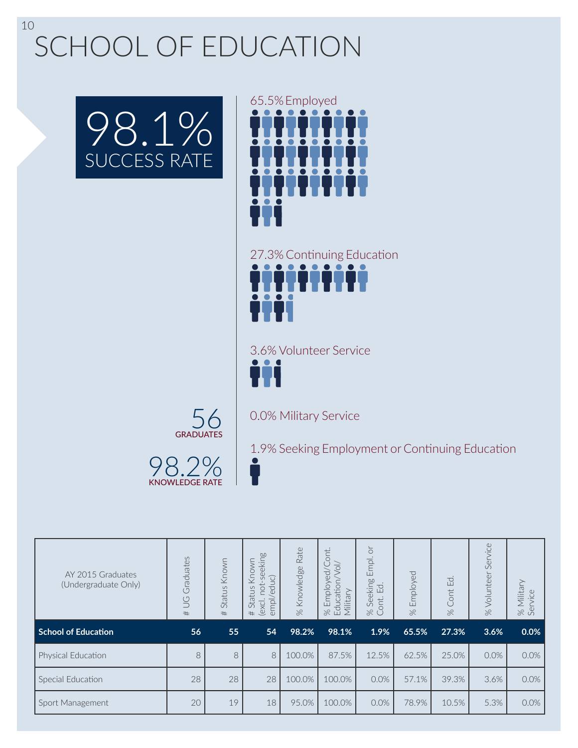SCHOOL OF EDUCATION

98.2% KNOWLEDGE RATE

56 **GRADUATES** 





27.3% Continuing Education TITTITI

3.6% Volunteer Service T

0.0% Military Service

1.9% Seeking Employment or Continuing Education

| AY 2015 Graduates<br>(Undergraduate Only) | Graduates<br>$\cup$<br># | Known<br>Status<br># | -seeking<br>Known<br>/educ)<br>not-<br>Status<br>empl,<br>(excl.<br># | Rate<br>% Knowledge | ont<br>Ć<br>$\overline{\circ}$<br>$\overline{g}$<br>Education<br>Employ <sub>"</sub><br>Military<br>$\approx$ | ð<br>Empl.<br>Seeking<br>$E$ d<br>Cont.<br>$\%$ | Employed<br>$\approx$ | $\Xi$<br>Cont<br>$\approx$ | Service<br>Volunteer<br>$\approx$ | Military<br>rvice<br>Sē<br>$\gg$ |
|-------------------------------------------|--------------------------|----------------------|-----------------------------------------------------------------------|---------------------|---------------------------------------------------------------------------------------------------------------|-------------------------------------------------|-----------------------|----------------------------|-----------------------------------|----------------------------------|
| <b>School of Education</b>                | 56                       | 55                   | 54                                                                    | 98.2%               | 98.1%                                                                                                         | 1.9%                                            | 65.5%                 | 27.3%                      | 3.6%                              | 0.0%                             |
| Physical Education                        | 8                        | 8                    | 8                                                                     | 100.0%              | 87.5%                                                                                                         | 12.5%                                           | 62.5%                 | 25.0%                      | 0.0%                              | 0.0%                             |
| Special Education                         | 28                       | 28                   | 28                                                                    | 100.0%              | 100.0%                                                                                                        | 0.0%                                            | 57.1%                 | 39.3%                      | 3.6%                              | 0.0%                             |
| Sport Management                          | 20                       | 19                   | 18                                                                    | 95.0%               | 100.0%                                                                                                        | 0.0%                                            | 78.9%                 | 10.5%                      | 5.3%                              | 0.0%                             |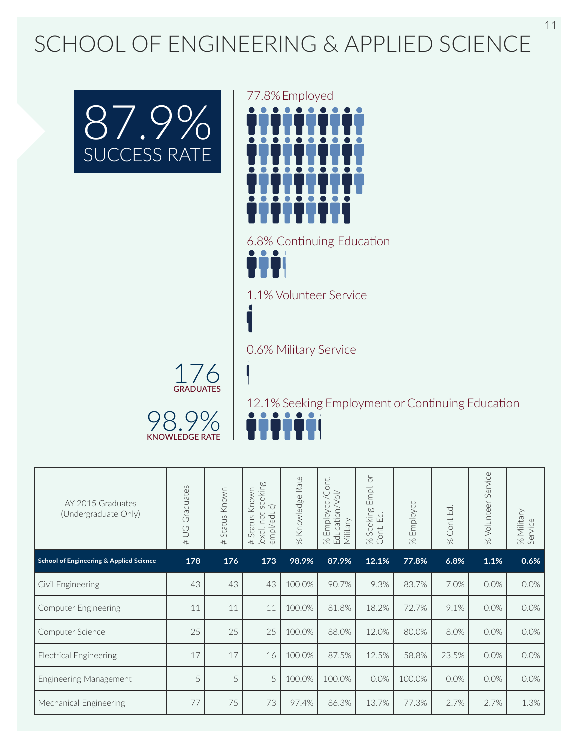### SCHOOL OF ENGINEERING & APPLIED SCIENCE





6.8% Continuing Education

1.1% Volunteer Service

0.6% Military Service



98.9% KNOWLEDGE RATE

12.1% Seeking Employment or Continuing Education

| AY 2015 Graduates<br>(Undergraduate Only) | Graduates<br>$\cup$<br># | Status Known<br># | (excl. not-seeking<br>Known<br>empl/educ)<br>Status<br># | Rate<br>% Knowledge | ont.<br>% Employed/Co<br>Education/Vol/<br>Military | $\overleftarrow{\bigcirc}$<br>Empl.<br>Seeking<br>Ed.<br>iont.<br>$\approx$<br>$\circ$ | Employed<br>$\approx$ | Cont Ed.<br>$\aleph$ | Service<br>% Volunteer | % Military<br>Service |
|-------------------------------------------|--------------------------|-------------------|----------------------------------------------------------|---------------------|-----------------------------------------------------|----------------------------------------------------------------------------------------|-----------------------|----------------------|------------------------|-----------------------|
| School of Engineering & Applied Science   | 178                      | 176               | 173                                                      | 98.9%               | 87.9%                                               | 12.1%                                                                                  | 77.8%                 | 6.8%                 | 1.1%                   | 0.6%                  |
| Civil Engineering                         | 43                       | 43                | 43                                                       | 100.0%              | 90.7%                                               | 9.3%                                                                                   | 83.7%                 | 7.0%                 | 0.0%                   | 0.0%                  |
| <b>Computer Engineering</b>               | 11                       | 11                | 11                                                       | 100.0%              | 81.8%                                               | 18.2%                                                                                  | 72.7%                 | 9.1%                 | 0.0%                   | 0.0%                  |
| Computer Science                          | 25                       | 25                | 25                                                       | 100.0%              | 88.0%                                               | 12.0%                                                                                  | 80.0%                 | 8.0%                 | 0.0%                   | $0.0\%$               |
| <b>Electrical Engineering</b>             | 17                       | 17                | 16                                                       | 100.0%              | 87.5%                                               | 12.5%                                                                                  | 58.8%                 | 23.5%                | 0.0%                   | 0.0%                  |
| Engineering Management                    | 5                        | 5                 | 5                                                        | 100.0%              | 100.0%                                              | 0.0%                                                                                   | 100.0%                | 0.0%                 | 0.0%                   | 0.0%                  |
| Mechanical Engineering                    | 77                       | 75                | 73                                                       | 97.4%               | 86.3%                                               | 13.7%                                                                                  | 77.3%                 | 2.7%                 | 2.7%                   | 1.3%                  |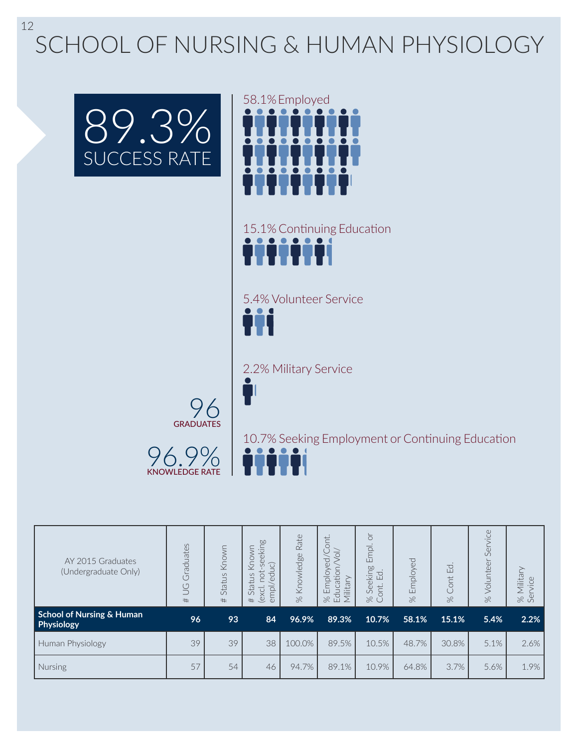SCHOOL OF NURSING & HUMAN PHYSIOLOGY





15.1% Continuing Education mm

5.4% Volunteer Service

2.2% Military Service



96.9% KNOWLEDGE RATE  $\bullet$ 7

10.7% Seeking Employment or Continuing Education

| AY 2015 Graduates<br>(Undergraduate Only)          | Graduates<br>$\overline{S}$<br># | Known<br>Status<br># | eeking<br>Known<br>educ)<br>S<br><b>b</b><br>Status<br>empl,<br>(excl.<br># | Rate<br>Knowledge<br>$\approx$ | ont<br>$\frac{1}{\sqrt{2}}$<br>$\overline{C}$<br>Education<br>$\frac{1}{\sqrt{2}}$<br>litary<br>Empl<br>$\approx$ | $\overleftarrow{\circ}$<br>Empl.<br>Seeking<br>▽<br>Ш<br>ont.<br>$\gg$<br>L | Employed<br>$\aleph$ | Ed.<br>Cont<br>$\aleph$ | Service<br>Volunteer<br>$\aleph$ | ≧<br><i><b>Ailital</b></i><br>$\mathbb U$<br>880 |
|----------------------------------------------------|----------------------------------|----------------------|-----------------------------------------------------------------------------|--------------------------------|-------------------------------------------------------------------------------------------------------------------|-----------------------------------------------------------------------------|----------------------|-------------------------|----------------------------------|--------------------------------------------------|
| <b>School of Nursing &amp; Human</b><br>Physiology | 96                               | 93                   | 84                                                                          | 96.9%                          | 89.3%                                                                                                             | 10.7%                                                                       | 58.1%                | 15.1%                   | 5.4%                             | 2.2%                                             |
| Human Physiology                                   | 39                               | 39                   | 38                                                                          | 100.0%                         | 89.5%                                                                                                             | 10.5%                                                                       | 48.7%                | 30.8%                   | 5.1%                             | 2.6%                                             |
| Nursing                                            | 57                               | 54                   | 46                                                                          | 94.7%                          | 89.1%                                                                                                             | 10.9%                                                                       | 64.8%                | 3.7%                    | 5.6%                             | 1.9%                                             |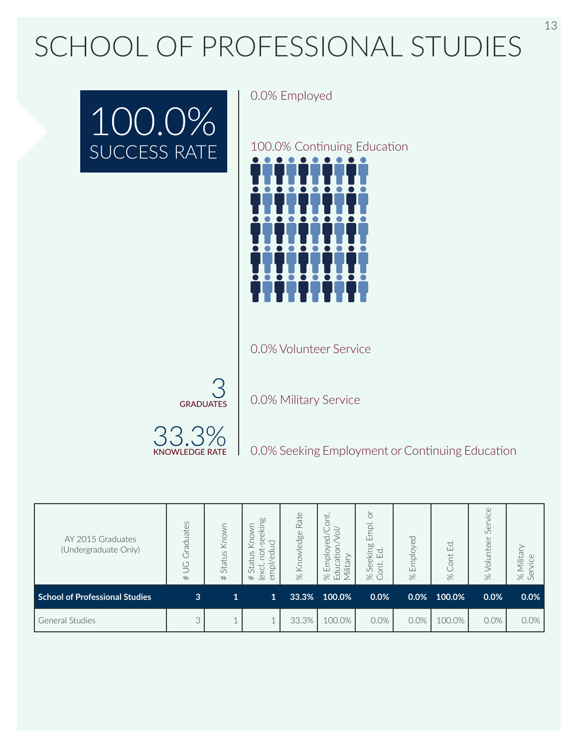## SCHOOL OF PROFESSIONAL STUDIES



0.0% Employed

100.0% Continuing Education



0.0% Volunteer Service



0.0% Military Service



0.0% Seeking Employment or Continuing Education

| AY 2015 Graduates<br>(Undergraduate Only) | Graduates<br>$\cup$<br>$^{\#}$ | Known<br>Status<br># | <b>b.0</b><br>eekin<br>$\widehat{\bigcirc}$<br>立<br>℧<br>S<br>$\overline{Q}$<br>Statu <sub>s</sub><br>$\Phi$<br>—<br>empl<br>(excl<br># | Rate<br>Knowledge<br>$\approx$ | Ë.<br>て<br>$\overline{\Omega}$<br>Ė<br>litar<br>LL.<br>$\Xi$<br>$\%$ | ৯<br>Empl.<br><b>b.0</b><br>$\frac{1}{2}$<br>$E_{\rm d}$<br>$\overset{\circ}{\mathbb{C}}$<br>ont.<br>$\circ$<br>ぷ Ŭ | Employed<br>$\approx$ | $\Xi$<br>ont<br>$\approx$ | vice<br>Ser<br>Volunteer<br>$\approx$ | lital<br>880 |
|-------------------------------------------|--------------------------------|----------------------|-----------------------------------------------------------------------------------------------------------------------------------------|--------------------------------|----------------------------------------------------------------------|---------------------------------------------------------------------------------------------------------------------|-----------------------|---------------------------|---------------------------------------|--------------|
| <b>School of Professional Studies</b>     | 3                              | $\mathbf{1}$         | $\mathbf{1}$                                                                                                                            | 33.3%                          | 100.0%                                                               | 0.0%                                                                                                                | 0.0%                  | 100.0%                    | 0.0%                                  | 0.0%         |
| <b>General Studies</b>                    | 3                              |                      |                                                                                                                                         | 33.3%                          | 100.0%                                                               | 0.0%                                                                                                                | 0.0%                  | 100.0%                    | $0.0\%$                               | 0.0%         |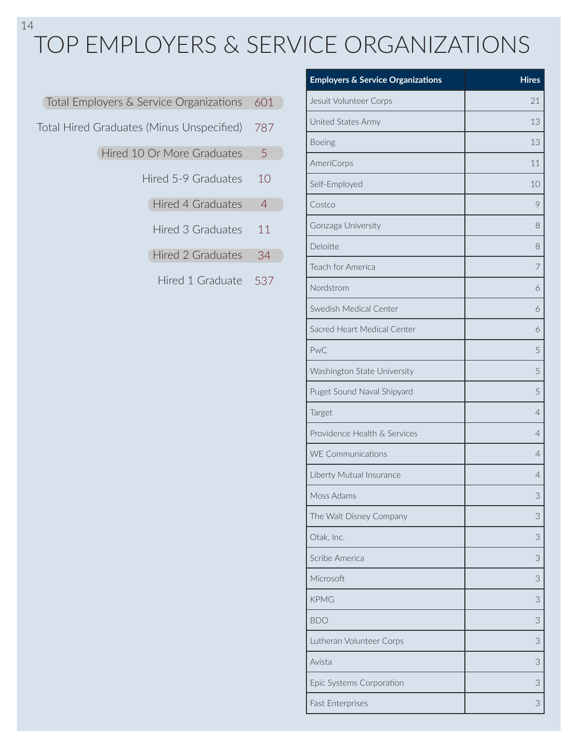### TOP EMPLOYERS & SERVICE ORGANIZATIONS

| Total Employers & Service Organizations 601 |                |  |
|---------------------------------------------|----------------|--|
| Total Hired Graduates (Minus Unspecified)   | - 787          |  |
| Hired 10 Or More Graduates                  | 5              |  |
| Hired 5-9 Graduates                         | 10             |  |
| Hired 4 Graduates                           | $\overline{4}$ |  |
| Hired 3 Graduates                           | 11             |  |
| Hired 2 Graduates                           | 34             |  |

Hired 1 Graduate 537

| <b>Employers &amp; Service Organizations</b> | <b>Hires</b>   |
|----------------------------------------------|----------------|
| Jesuit Volunteer Corps                       | 21             |
| United States Army                           | 13             |
| Boeing                                       | 13             |
| <b>AmeriCorps</b>                            | 11             |
| Self-Employed                                | 10             |
| Costco                                       | 9              |
| Gonzaga University                           | 8              |
| Deloitte                                     | 8              |
| <b>Teach for America</b>                     | 7              |
| Nordstrom                                    | 6              |
| Swedish Medical Center                       | 6              |
| Sacred Heart Medical Center                  | 6              |
| PwC                                          | 5              |
| Washington State University                  | 5              |
| Puget Sound Naval Shipyard                   | 5              |
| Target                                       | $\overline{4}$ |
| Providence Health & Services                 | $\overline{4}$ |
| <b>WE Communications</b>                     | $\overline{4}$ |
| Liberty Mutual Insurance                     | 4              |
| Moss Adams                                   | 3              |
| The Walt Disney Company                      | 3              |
| Otak, Inc.                                   | 3              |
| Scribe America                               | 3              |
| Microsoft                                    | 3              |
| <b>KPMG</b>                                  | 3              |
| <b>BDO</b>                                   | 3              |
| Lutheran Volunteer Corps                     | 3              |
| Avista                                       | 3              |
| Epic Systems Corporation                     | 3              |
| Fast Enterprises                             | 3              |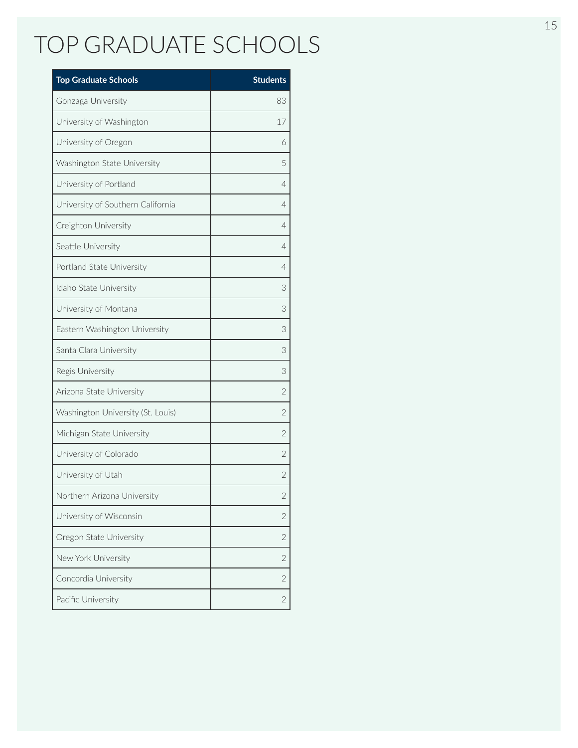### TOP GRADUATE SCHOOLS

| <b>Top Graduate Schools</b>       | <b>Students</b> |
|-----------------------------------|-----------------|
| Gonzaga University                | 83              |
| University of Washington          | 17              |
| University of Oregon              | 6               |
| Washington State University       | 5               |
| University of Portland            | 4               |
| University of Southern California | 4               |
| Creighton University              | 4               |
| Seattle University                | 4               |
| Portland State University         | 4               |
| Idaho State University            | 3               |
| University of Montana             | 3               |
| Eastern Washington University     | 3               |
| Santa Clara University            | 3               |
| Regis University                  | 3               |
| Arizona State University          | $\overline{2}$  |
| Washington University (St. Louis) | $\overline{2}$  |
| Michigan State University         | $\overline{2}$  |
| University of Colorado            | $\overline{2}$  |
| University of Utah                | $\overline{2}$  |
| Northern Arizona University       | 2               |
| University of Wisconsin           | $\overline{2}$  |
| Oregon State University           | $\overline{2}$  |
| New York University               | $\overline{2}$  |
| Concordia University              | $\overline{2}$  |
| Pacific University                | $\sqrt{2}$      |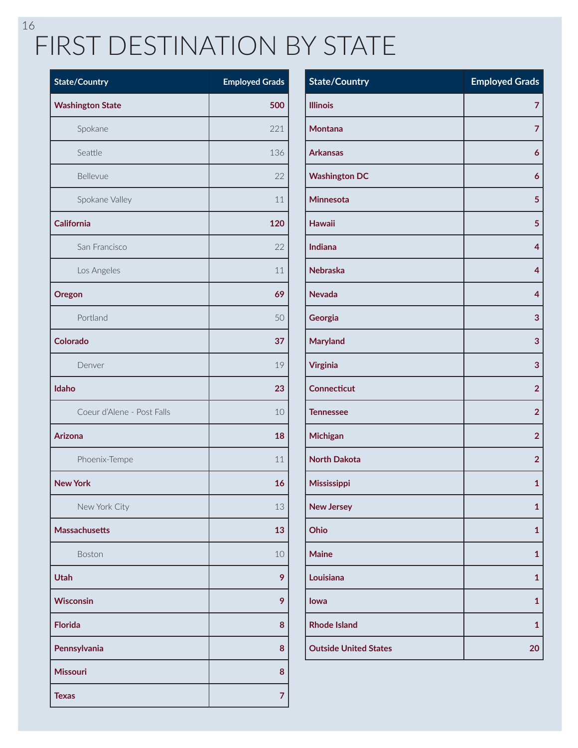### 16 FIRST DESTINATION BY STATE

| <b>State/Country</b>       | <b>Employed Grads</b> |
|----------------------------|-----------------------|
| <b>Washington State</b>    | 500                   |
| Spokane                    | 221                   |
| Seattle                    | 136                   |
| Bellevue                   | 22                    |
| Spokane Valley             | 11                    |
| <b>California</b>          | 120                   |
| San Francisco              | 22                    |
| Los Angeles                | 11                    |
| Oregon                     | 69                    |
| Portland                   | 50                    |
| <b>Colorado</b>            | 37                    |
| Denver                     | 19                    |
| Idaho                      | 23                    |
| Coeur d'Alene - Post Falls | 10                    |
| <b>Arizona</b>             | 18                    |
| Phoenix-Tempe              | 11                    |
| <b>New York</b>            | 16                    |
| New York City              | 13                    |
| <b>Massachusetts</b>       | 13                    |
| Boston                     | 10                    |
| <b>Utah</b>                | 9                     |
| <b>Wisconsin</b>           | 9                     |
| <b>Florida</b>             | 8                     |
| Pennsylvania               | 8                     |
| <b>Missouri</b>            | 8                     |
| <b>Texas</b>               | 7                     |

| <b>State/Country</b>         | <b>Employed Grads</b> |
|------------------------------|-----------------------|
| <b>Illinois</b>              | 7                     |
| <b>Montana</b>               | 7                     |
| <b>Arkansas</b>              | 6                     |
| <b>Washington DC</b>         | 6                     |
| <b>Minnesota</b>             | 5                     |
| <b>Hawaii</b>                | 5                     |
| <b>Indiana</b>               | 4                     |
| <b>Nebraska</b>              | 4                     |
| <b>Nevada</b>                | 4                     |
| Georgia                      | 3                     |
| <b>Maryland</b>              | 3                     |
| <b>Virginia</b>              | 3                     |
| <b>Connecticut</b>           | $\overline{2}$        |
| <b>Tennessee</b>             | $\overline{2}$        |
| Michigan                     | $\overline{2}$        |
| <b>North Dakota</b>          | $\overline{2}$        |
| Mississippi                  | 1                     |
| <b>New Jersey</b>            | 1                     |
| Ohio                         | 1                     |
| <b>Maine</b>                 | 1                     |
| Louisiana                    | 1                     |
| lowa                         | 1                     |
| <b>Rhode Island</b>          | 1                     |
| <b>Outside United States</b> | 20                    |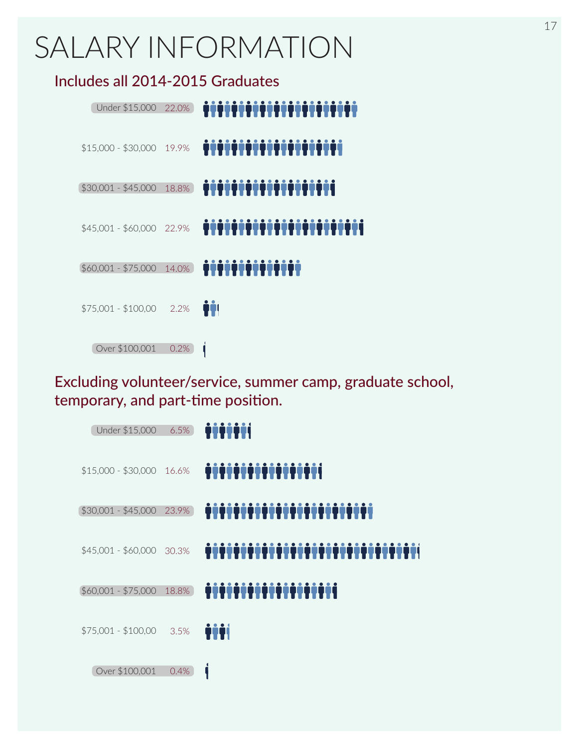## SALARY INFORMATION

Includes all 2014-2015 Graduates

| Under \$15,000            | 22.0% | , , , , , , , , , , , <u>, , , ,</u> |
|---------------------------|-------|--------------------------------------|
| \$15,000 - \$30,000 19.9% |       | <u>TTTTTTTTTTTTTTTTT</u>             |
| $$30,001 - $45,000$       | 18.8% | <u> 1111111111111111111</u>          |
| \$45,001 - \$60,000 22.9% |       | .<br>W.                              |
| $$60,001 - $75,000$       | 14.0% | <u> İIIIIIIIIIIIII</u>               |
| $$75,001 - $100,00$       | 2.2%  | Ĥİ                                   |
| Over \$100,001            | 0.2%  |                                      |

Excluding volunteer/service, summer camp, graduate school, temporary, and part-time position.

|                                | 6.5%  | Under \$15,000            |
|--------------------------------|-------|---------------------------|
|                                |       | \$15,000 - \$30,000 16.6% |
| ,,,,,,,,,,,,,,,,,,,,,,,,,,,,,, | 23.9% | $$30,001 - $45,000$       |
| ,,,,,,,,,,,,,,,,,,,,,,,,       |       | \$45,001 - \$60,000 30.3% |
| <u> İTTITTITTITTITTI</u>       | 18.8% | $$60,001 - $75,000$       |
| iii                            | 3.5%  | $$75,001 - $100,00$       |
|                                | 0.4%  | Over \$100,001            |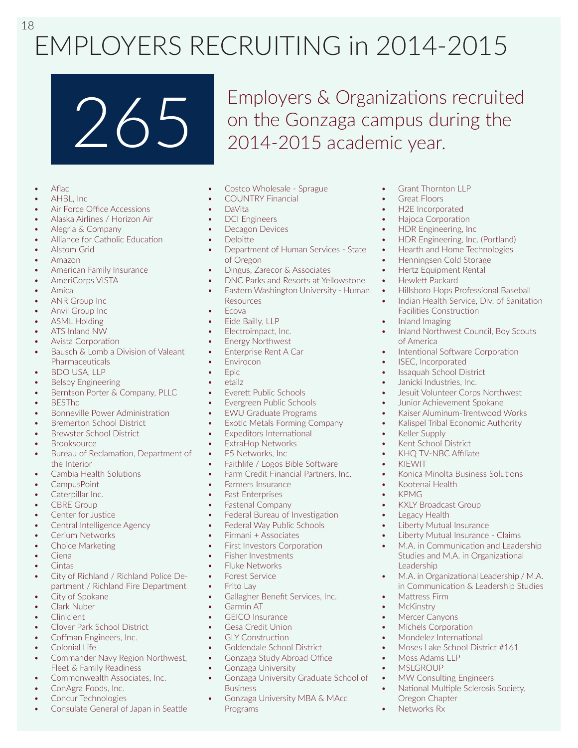### 18 EMPLOYERS RECRUITING in 2014-2015

265 Employers & Organizations recruited<br>2014-2015 academic vear on the Gonzaga campus during the 2014-2015 academic year.

- Aflac
- AHBL, Inc
- Air Force Office Accessions
- Alaska Airlines / Horizon Air
- Alegria & Company
- Alliance for Catholic Education
- Alstom Grid
- Amazon
- American Family Insurance
- AmeriCorps VISTA
- Amica
- ANR Group Inc
- Anvil Group Inc
- ASML Holding
- ATS Inland NW
- Avista Corporation
- Bausch & Lomb a Division of Valeant **Pharmaceuticals**
- BDO USA, LLP
- Belsby Engineering
- Berntson Porter & Company, PLLC
- BESThq
- Bonneville Power Administration
- Bremerton School District
- Brewster School District
- Brooksource
- Bureau of Reclamation, Department of the Interior
- Cambia Health Solutions
- CampusPoint
- Caterpillar Inc.
- **CBRE** Group
- Center for Justice
- Central Intelligence Agency
- Cerium Networks
- Choice Marketing
- Ciena
- Cintas
- City of Richland / Richland Police Department / Richland Fire Department
- City of Spokane
- Clark Nuber
- Clinicient
- Clover Park School District
- Coffman Engineers, Inc.
- Colonial Life
- Commander Navy Region Northwest, Fleet & Family Readiness
- Commonwealth Associates, Inc.
- ConAgra Foods, Inc.
- Concur Technologies
- Consulate General of Japan in Seattle
- Costco Wholesale Sprague
- COUNTRY Financial
- DaVita
- DCI Engineers
- Decagon Devices
- Deloitte
- Department of Human Services State of Oregon
- Dingus, Zarecor & Associates
- DNC Parks and Resorts at Yellowstone
- Eastern Washington University Human Resources
- Ecova
- Eide Bailly, LLP
- Electroimpact, Inc.
- **Energy Northwest**
- Enterprise Rent A Car
- Envirocon
- Epic
- etailz
- Everett Public Schools
- Evergreen Public Schools
- EWU Graduate Programs
- **Exotic Metals Forming Company**
- Expeditors International
- ExtraHop Networks
- F5 Networks, Inc.
- Faithlife / Logos Bible Software
- Farm Credit Financial Partners, Inc.
- Farmers Insurance
- Fast Enterprises
- Fastenal Company
- Federal Bureau of Investigation
- Federal Way Public Schools
- Firmani + Associates
- First Investors Corporation
- Fisher Investments
- Fluke Networks
- Forest Service
- **Frito Lav**
- Gallagher Benefit Services, Inc.
- Garmin AT
- **GFICO** Insurance
- Gesa Credit Union
- **GLY Construction**
- Goldendale School District
- Gonzaga Study Abroad Office
- Gonzaga University
- Gonzaga University Graduate School of Business
- Gonzaga University MBA & MAcc Programs

Grant Thornton LLP **Great Floors** 

• Hewlett Packard

of America

• Keller Supply • Kent School District • KHQ TV-NBC Affiliate

• Kootenai Health

• KXLY Broadcast Group Legacy Health

Liberty Mutual Insurance

• KIEWIT

• KPMG

Leadership

• Mattress Firm **McKinstry** Mercer Canyons • Michels Corporation • Mondelez International

• Moss Adams LLP **MSLGROUP** 

Oregon Chapter • Networks Rx

Facilities Construction • Inland Imaging

ISEC, Incorporated • Issaquah School District • Janicki Industries, Inc.

• H2E Incorporated • Hajoca Corporation • HDR Engineering, Inc

• HDR Engineering, Inc. (Portland) • Hearth and Home Technologies • Henningsen Cold Storage • Hertz Equipment Rental

• Hillsboro Hops Professional Baseball • Indian Health Service, Div. of Sanitation

• Inland Northwest Council, Boy Scouts

Intentional Software Corporation

Jesuit Volunteer Corps Northwest Junior Achievement Spokane • Kaiser Aluminum-Trentwood Works • Kalispel Tribal Economic Authority

• Konica Minolta Business Solutions

• Liberty Mutual Insurance - Claims M.A. in Communication and Leadership Studies and M.A. in Organizational

• Moses Lake School District #161

MW Consulting Engineers • National Multiple Sclerosis Society,

• M.A. in Organizational Leadership / M.A. in Communication & Leadership Studies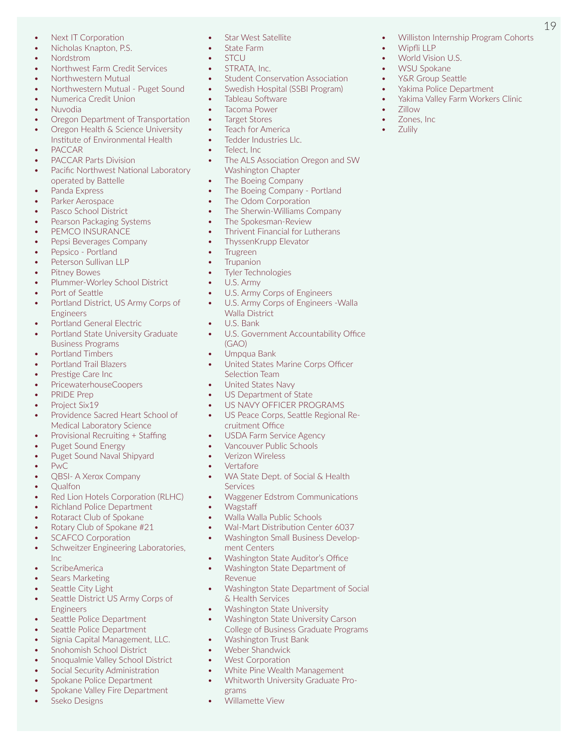- Next IT Corporation
- Nicholas Knapton, P.S.
- Nordstrom
- Northwest Farm Credit Services
- Northwestern Mutual
- Northwestern Mutual Puget Sound
- Numerica Credit Union
- Nuvodia
- Oregon Department of Transportation • Oregon Health & Science University
- Institute of Environmental Health • PACCAR
- PACCAR Parts Division
- Pacific Northwest National Laboratory operated by Battelle
- Panda Express
- Parker Aerospace
- Pasco School District
- Pearson Packaging Systems
- PEMCO INSURANCE
- Pepsi Beverages Company
- Pepsico Portland
- Peterson Sullivan LLP
- Pitney Bowes
- Plummer-Worley School District
- Port of Seattle
- Portland District, US Army Corps of **Engineers**
- Portland General Electric
- Portland State University Graduate Business Programs
- Portland Timbers
- Portland Trail Blazers
- Prestige Care Inc
- PricewaterhouseCoopers
- PRIDE Prep
- Project Six19
- Providence Sacred Heart School of Medical Laboratory Science
- Provisional Recruiting + Staffing
- Puget Sound Energy
- Puget Sound Naval Shipyard
- PwC
- QBSI- A Xerox Company
- Qualfon
- Red Lion Hotels Corporation (RLHC)
- Richland Police Department
- Rotaract Club of Spokane
- Rotary Club of Spokane #21
- SCAFCO Corporation
- Schweitzer Engineering Laboratories, Inc
- ScribeAmerica
- Sears Marketing
- Seattle City Light
- Seattle District US Army Corps of Engineers
- Seattle Police Department
- Seattle Police Department
- Signia Capital Management, LLC.
- Snohomish School District
- Snoqualmie Valley School District
- Social Security Administration
- Spokane Police Department
- Spokane Valley Fire Department
- Sseko Designs
- **Star West Satellite**
- State Farm • STCU
- STRATA, Inc.
- 
- Student Conservation Association • Swedish Hospital (SSBI Program)

19

• Williston Internship Program Cohorts

• Wipfli LLP • World Vision U.S. WSU Spokane • Y&R Group Seattle • Yakima Police Department Yakima Valley Farm Workers Clinic

• Zillow • Zones, Inc • Zulily

- Tableau Software
- Tacoma Power
- Target Stores
- Teach for America
- Tedder Industries Llc.
- Telect, Inc.
- The ALS Association Oregon and SW Washington Chapter
- The Boeing Company
- The Boeing Company Portland
- The Odom Corporation
- The Sherwin-Williams Company
- The Spokesman-Review
- Thrivent Financial for Lutherans
- ThyssenKrupp Elevator
- Trugreen
- Trupanion
- Tyler Technologies
- U.S. Army
- U.S. Army Corps of Engineers
- U.S. Army Corps of Engineers -Walla Walla District
- U.S. Bank
- U.S. Government Accountability Office (GAO)
- Umpqua Bank
- United States Marine Corps Officer Selection Team
- United States Navy
- US Department of State
- US NAVY OFFICER PROGRAMS
- US Peace Corps, Seattle Regional Recruitment Office
- USDA Farm Service Agency
- Vancouver Public Schools
- Verizon Wireless
- Vertafore
- WA State Dept. of Social & Health **Services**
- Waggener Edstrom Communications
- Wagstaff
- Walla Walla Public Schools

ment Centers

& Health Services

• Washington Trust Bank • Weber Shandwick **West Corporation** 

Revenue

grams • Willamette View

• Wal-Mart Distribution Center 6037 • Washington Small Business Develop-

• Washington State Auditor's Office<br>• Washington State Denartment of • Washington State Department of

• Washington State University • Washington State University Carson College of Business Graduate Programs

• White Pine Wealth Management • Whitworth University Graduate Pro-

• Washington State Department of Social